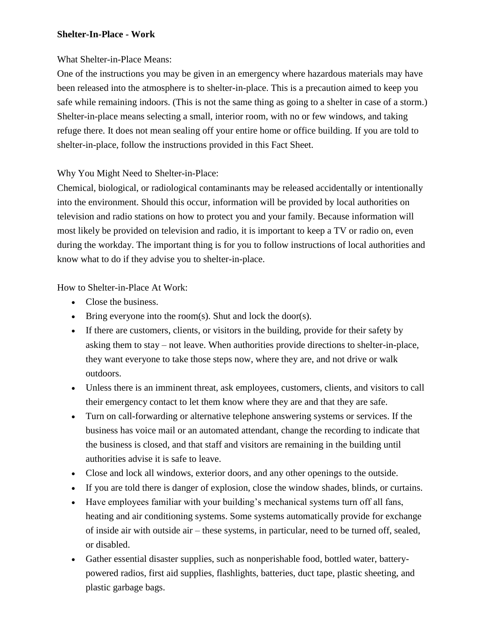## **Shelter-In-Place - Work**

## What Shelter-in-Place Means:

One of the instructions you may be given in an emergency where hazardous materials may have been released into the atmosphere is to shelter-in-place. This is a precaution aimed to keep you safe while remaining indoors. (This is not the same thing as going to a shelter in case of a storm.) Shelter-in-place means selecting a small, interior room, with no or few windows, and taking refuge there. It does not mean sealing off your entire home or office building. If you are told to shelter-in-place, follow the instructions provided in this Fact Sheet.

## Why You Might Need to Shelter-in-Place:

Chemical, biological, or radiological contaminants may be released accidentally or intentionally into the environment. Should this occur, information will be provided by local authorities on television and radio stations on how to protect you and your family. Because information will most likely be provided on television and radio, it is important to keep a TV or radio on, even during the workday. The important thing is for you to follow instructions of local authorities and know what to do if they advise you to shelter-in-place.

How to Shelter-in-Place At Work:

- Close the business.
- $\bullet$  Bring everyone into the room(s). Shut and lock the door(s).
- If there are customers, clients, or visitors in the building, provide for their safety by asking them to stay – not leave. When authorities provide directions to shelter-in-place, they want everyone to take those steps now, where they are, and not drive or walk outdoors.
- Unless there is an imminent threat, ask employees, customers, clients, and visitors to call their emergency contact to let them know where they are and that they are safe.
- Turn on call-forwarding or alternative telephone answering systems or services. If the business has voice mail or an automated attendant, change the recording to indicate that the business is closed, and that staff and visitors are remaining in the building until authorities advise it is safe to leave.
- Close and lock all windows, exterior doors, and any other openings to the outside.
- If you are told there is danger of explosion, close the window shades, blinds, or curtains.
- Have employees familiar with your building's mechanical systems turn off all fans, heating and air conditioning systems. Some systems automatically provide for exchange of inside air with outside air – these systems, in particular, need to be turned off, sealed, or disabled.
- Gather essential disaster supplies, such as nonperishable food, bottled water, batterypowered radios, first aid supplies, flashlights, batteries, duct tape, plastic sheeting, and plastic garbage bags.